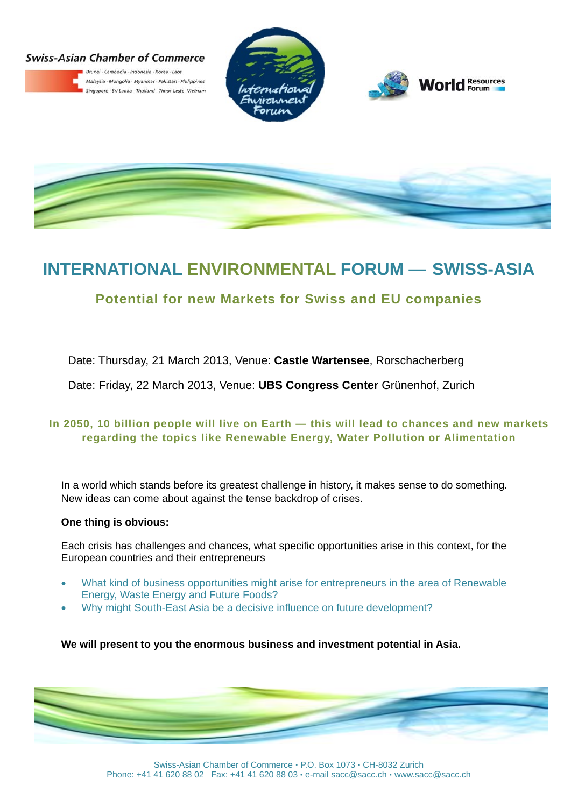## **Swiss-Asian Chamber of Commerce**



**IAN CNAMDER OT COMM<br>Brunei · Cambodia · Indonesia · Korea · Laos<br>Malaysia · Mongolia · Myanmar · Pakistan · P.** Malaysia · Mongolia · Myanmar · Pakistan · Philippines Singapore - Sri Lanka - Thailand - Timor-Leste - Vietnam







# **INTERNATIONAL ENVIRONMENTAL FORUM — SWISS-ASIA**

# **Potential for new Markets for Swiss and EU companies**

Date: Thursday, 21 March 2013, Venue: **Castle Wartensee**, Rorschacherberg

Date: Friday, 22 March 2013, Venue: **UBS Congress Center** Grünenhof, Zurich

## **In 2050, 10 billion people will live on Earth — this will lead to chances and new markets regarding the topics like Renewable Energy, Water Pollution or Alimentation**

In a world which stands before its greatest challenge in history, it makes sense to do something. New ideas can come about against the tense backdrop of crises.

## **One thing is obvious:**

Each crisis has challenges and chances, what specific opportunities arise in this context, for the European countries and their entrepreneurs

- What kind of business opportunities might arise for entrepreneurs in the area of Renewable Energy, Waste Energy and Future Foods?
- Why might South-East Asia be a decisive influence on future development?

**We will present to you the enormous business and investment potential in Asia.** 

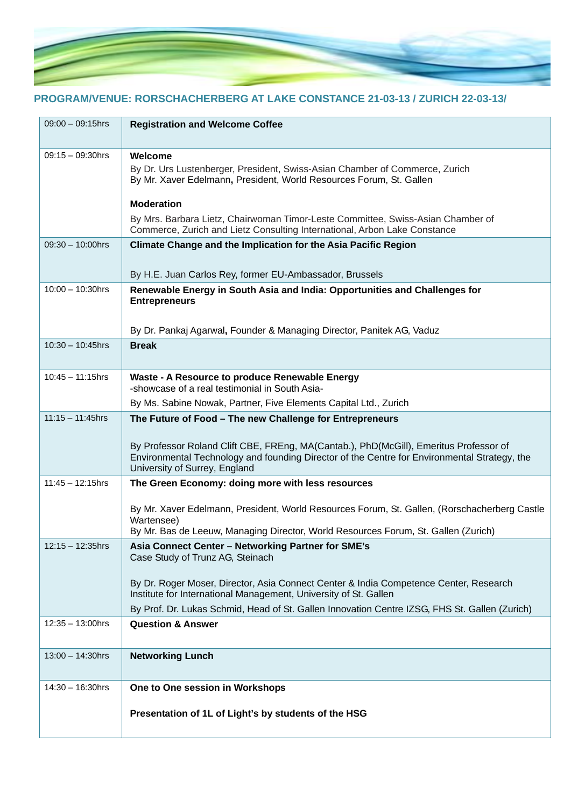

# **PROGRAM/VENUE: RORSCHACHERBERG AT LAKE CONSTANCE 21-03-13 / ZURICH 22-03-13/**

| $09:00 - 09:15$ hrs | <b>Registration and Welcome Coffee</b>                                                                                                                                                                                                            |
|---------------------|---------------------------------------------------------------------------------------------------------------------------------------------------------------------------------------------------------------------------------------------------|
| $09:15 - 09:30$ hrs | Welcome<br>By Dr. Urs Lustenberger, President, Swiss-Asian Chamber of Commerce, Zurich<br>By Mr. Xaver Edelmann, President, World Resources Forum, St. Gallen                                                                                     |
|                     | <b>Moderation</b><br>By Mrs. Barbara Lietz, Chairwoman Timor-Leste Committee, Swiss-Asian Chamber of<br>Commerce, Zurich and Lietz Consulting International, Arbon Lake Constance                                                                 |
| $09:30 - 10:00$ hrs | Climate Change and the Implication for the Asia Pacific Region                                                                                                                                                                                    |
|                     | By H.E. Juan Carlos Rey, former EU-Ambassador, Brussels                                                                                                                                                                                           |
| $10:00 - 10:30$ hrs | Renewable Energy in South Asia and India: Opportunities and Challenges for<br><b>Entrepreneurs</b>                                                                                                                                                |
|                     | By Dr. Pankaj Agarwal, Founder & Managing Director, Panitek AG, Vaduz                                                                                                                                                                             |
| $10:30 - 10:45$ hrs | <b>Break</b>                                                                                                                                                                                                                                      |
| $10:45 - 11:15$ hrs | Waste - A Resource to produce Renewable Energy<br>-showcase of a real testimonial in South Asia-                                                                                                                                                  |
|                     | By Ms. Sabine Nowak, Partner, Five Elements Capital Ltd., Zurich                                                                                                                                                                                  |
| $11:15 - 11:45$ hrs | The Future of Food - The new Challenge for Entrepreneurs<br>By Professor Roland Clift CBE, FREng, MA(Cantab.), PhD(McGill), Emeritus Professor of<br>Environmental Technology and founding Director of the Centre for Environmental Strategy, the |
|                     | University of Surrey, England                                                                                                                                                                                                                     |
| $11:45 - 12:15$ hrs | The Green Economy: doing more with less resources                                                                                                                                                                                                 |
|                     | By Mr. Xaver Edelmann, President, World Resources Forum, St. Gallen, (Rorschacherberg Castle<br>Wartensee)<br>By Mr. Bas de Leeuw, Managing Director, World Resources Forum, St. Gallen (Zurich)                                                  |
|                     | Asia Connect Center - Networking Partner for SME's                                                                                                                                                                                                |
| 12:15 – 12:35hrs    | Case Study of Trunz AG, Steinach                                                                                                                                                                                                                  |
|                     | By Dr. Roger Moser, Director, Asia Connect Center & India Competence Center, Research<br>Institute for International Management, University of St. Gallen                                                                                         |
|                     | By Prof. Dr. Lukas Schmid, Head of St. Gallen Innovation Centre IZSG, FHS St. Gallen (Zurich)                                                                                                                                                     |
| $12:35 - 13:00$ hrs | <b>Question &amp; Answer</b>                                                                                                                                                                                                                      |
| $13:00 - 14:30$ hrs | <b>Networking Lunch</b>                                                                                                                                                                                                                           |
| $14:30 - 16:30$ hrs | One to One session in Workshops                                                                                                                                                                                                                   |
|                     | Presentation of 1L of Light's by students of the HSG                                                                                                                                                                                              |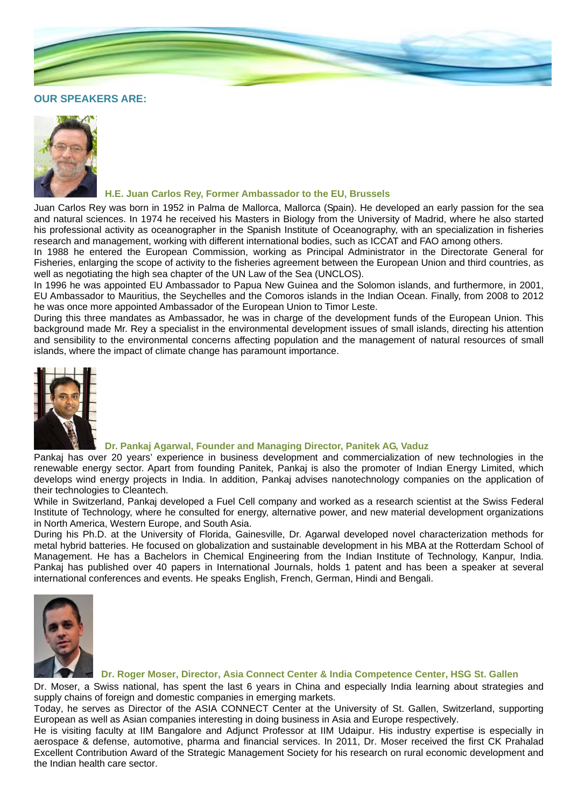

## **OUR SPEAKERS ARE:**



## **H.E. Juan Carlos Rey, Former Ambassador to the EU, Brussels**

Juan Carlos Rey was born in 1952 in Palma de Mallorca, Mallorca (Spain). He developed an early passion for the sea and natural sciences. In 1974 he received his Masters in Biology from the University of Madrid, where he also started his professional activity as oceanographer in the Spanish Institute of Oceanography, with an specialization in fisheries research and management, working with different international bodies, such as ICCAT and FAO among others.

In 1988 he entered the European Commission, working as Principal Administrator in the Directorate General for Fisheries, enlarging the scope of activity to the fisheries agreement between the European Union and third countries, as well as negotiating the high sea chapter of the UN Law of the Sea (UNCLOS).

In 1996 he was appointed EU Ambassador to Papua New Guinea and the Solomon islands, and furthermore, in 2001, EU Ambassador to Mauritius, the Seychelles and the Comoros islands in the Indian Ocean. Finally, from 2008 to 2012 he was once more appointed Ambassador of the European Union to Timor Leste.

During this three mandates as Ambassador, he was in charge of the development funds of the European Union. This background made Mr. Rey a specialist in the environmental development issues of small islands, directing his attention and sensibility to the environmental concerns affecting population and the management of natural resources of small islands, where the impact of climate change has paramount importance.



## **Dr. Pankaj Agarwal, Founder and Managing Director, Panitek AG, Vaduz**

Pankaj has over 20 years' experience in business development and commercialization of new technologies in the renewable energy sector. Apart from founding Panitek, Pankaj is also the promoter of Indian Energy Limited, which develops wind energy projects in India. In addition, Pankaj advises nanotechnology companies on the application of their technologies to Cleantech.

While in Switzerland, Pankaj developed a Fuel Cell company and worked as a research scientist at the Swiss Federal Institute of Technology, where he consulted for energy, alternative power, and new material development organizations in North America, Western Europe, and South Asia.

During his Ph.D. at the University of Florida, Gainesville, Dr. Agarwal developed novel characterization methods for metal hybrid batteries. He focused on globalization and sustainable development in his MBA at the Rotterdam School of Management. He has a Bachelors in Chemical Engineering from the Indian Institute of Technology, Kanpur, India. Pankaj has published over 40 papers in International Journals, holds 1 patent and has been a speaker at several international conferences and events. He speaks English, French, German, Hindi and Bengali.



#### **Dr. Roger Moser, Director, Asia Connect Center & India Competence Center, HSG St. Gallen**

Dr. Moser, a Swiss national, has spent the last 6 years in China and especially India learning about strategies and supply chains of foreign and domestic companies in emerging markets.

Today, he serves as Director of the ASIA CONNECT Center at the University of St. Gallen, Switzerland, supporting European as well as Asian companies interesting in doing business in Asia and Europe respectively.

He is visiting faculty at IIM Bangalore and Adjunct Professor at IIM Udaipur. His industry expertise is especially in aerospace & defense, automotive, pharma and financial services. In 2011, Dr. Moser received the first CK Prahalad Excellent Contribution Award of the Strategic Management Society for his research on rural economic development and the Indian health care sector.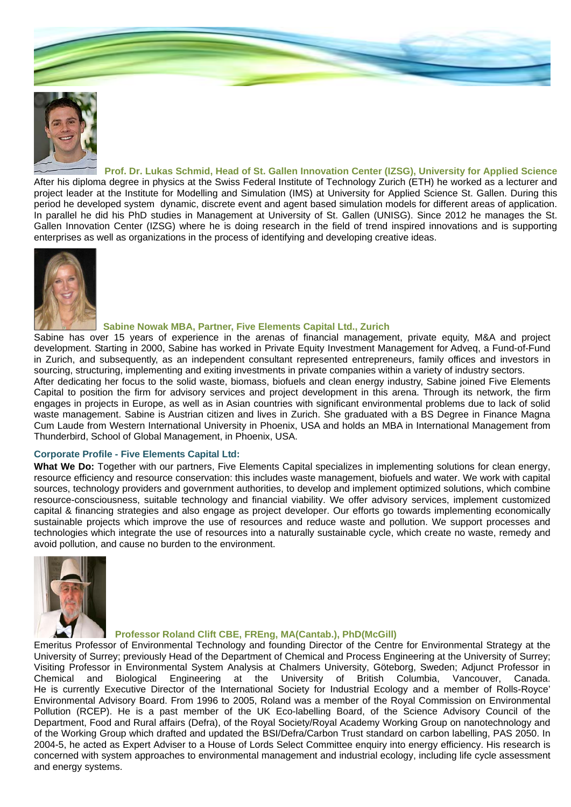



 **Prof. Dr. Lukas Schmid, Head of St. Gallen Innovation Center (IZSG), University for Applied Science** After his diploma degree in physics at the Swiss Federal Institute of Technology Zurich (ETH) he worked as a lecturer and project leader at the Institute for Modelling and Simulation (IMS) at University for Applied Science St. Gallen. During this period he developed system dynamic, discrete event and agent based simulation models for different areas of application. In parallel he did his PhD studies in Management at University of St. Gallen (UNISG). Since 2012 he manages the St. Gallen Innovation Center (IZSG) where he is doing research in the field of trend inspired innovations and is supporting enterprises as well as organizations in the process of identifying and developing creative ideas.



#### **Sabine Nowak MBA, Partner, Five Elements Capital Ltd., Zurich**

Sabine has over 15 years of experience in the arenas of financial management, private equity, M&A and project development. Starting in 2000, Sabine has worked in Private Equity Investment Management for Adveq, a Fund-of-Fund in Zurich, and subsequently, as an independent consultant represented entrepreneurs, family offices and investors in sourcing, structuring, implementing and exiting investments in private companies within a variety of industry sectors.

After dedicating her focus to the solid waste, biomass, biofuels and clean energy industry, Sabine joined Five Elements Capital to position the firm for advisory services and project development in this arena. Through its network, the firm engages in projects in Europe, as well as in Asian countries with significant environmental problems due to lack of solid waste management. Sabine is Austrian citizen and lives in Zurich. She graduated with a BS Degree in Finance Magna Cum Laude from Western International University in Phoenix, USA and holds an MBA in International Management from Thunderbird, School of Global Management, in Phoenix, USA.

## **Corporate Profile - Five Elements Capital Ltd:**

**What We Do:** Together with our partners, Five Elements Capital specializes in implementing solutions for clean energy, resource efficiency and resource conservation: this includes waste management, biofuels and water. We work with capital sources, technology providers and government authorities, to develop and implement optimized solutions, which combine resource-consciousness, suitable technology and financial viability. We offer advisory services, implement customized capital & financing strategies and also engage as project developer. Our efforts go towards implementing economically sustainable projects which improve the use of resources and reduce waste and pollution. We support processes and technologies which integrate the use of resources into a naturally sustainable cycle, which create no waste, remedy and avoid pollution, and cause no burden to the environment.



## **Professor Roland Clift CBE, FREng, MA(Cantab.), PhD(McGill)**

Emeritus Professor of Environmental Technology and founding Director of the Centre for Environmental Strategy at the University of Surrey; previously Head of the Department of Chemical and Process Engineering at the University of Surrey; Visiting Professor in Environmental System Analysis at Chalmers University, Göteborg, Sweden; Adjunct Professor in Chemical and Biological Engineering at the University of British Columbia, Vancouver, Canada. He is currently Executive Director of the International Society for Industrial Ecology and a member of Rolls-Royce' Environmental Advisory Board. From 1996 to 2005, Roland was a member of the Royal Commission on Environmental Pollution (RCEP). He is a past member of the UK Eco-labelling Board, of the Science Advisory Council of the Department, Food and Rural affairs (Defra), of the Royal Society/Royal Academy Working Group on nanotechnology and of the Working Group which drafted and updated the BSI/Defra/Carbon Trust standard on carbon labelling, PAS 2050. In 2004-5, he acted as Expert Adviser to a House of Lords Select Committee enquiry into energy efficiency. His research is concerned with system approaches to environmental management and industrial ecology, including life cycle assessment and energy systems.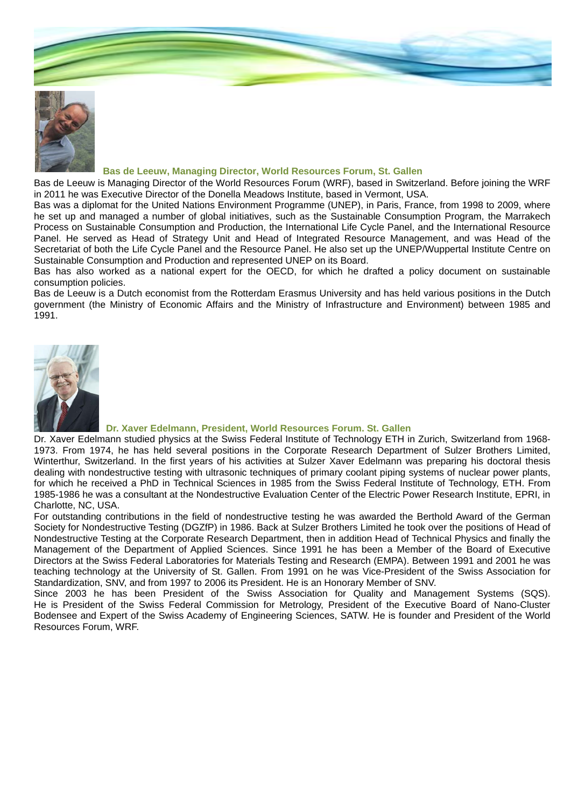



#### **Bas de Leeuw, Managing Director, World Resources Forum, St. Gallen**

Bas de Leeuw is Managing Director of the World Resources Forum (WRF), based in Switzerland. Before joining the WRF in 2011 he was Executive Director of the Donella Meadows Institute, based in Vermont, USA.

Bas was a diplomat for the United Nations Environment Programme (UNEP), in Paris, France, from 1998 to 2009, where he set up and managed a number of global initiatives, such as the Sustainable Consumption Program, the Marrakech Process on Sustainable Consumption and Production, the International Life Cycle Panel, and the International Resource Panel. He served as Head of Strategy Unit and Head of Integrated Resource Management, and was Head of the Secretariat of both the Life Cycle Panel and the Resource Panel. He also set up the UNEP/Wuppertal Institute Centre on Sustainable Consumption and Production and represented UNEP on its Board.

Bas has also worked as a national expert for the OECD, for which he drafted a policy document on sustainable consumption policies.

Bas de Leeuw is a Dutch economist from the Rotterdam Erasmus University and has held various positions in the Dutch government (the Ministry of Economic Affairs and the Ministry of Infrastructure and Environment) between 1985 and 1991.



#### **Dr. Xaver Edelmann, President, World Resources Forum. St. Gallen**

Dr. Xaver Edelmann studied physics at the Swiss Federal Institute of Technology ETH in Zurich, Switzerland from 1968- 1973. From 1974, he has held several positions in the Corporate Research Department of Sulzer Brothers Limited, Winterthur, Switzerland. In the first years of his activities at Sulzer Xaver Edelmann was preparing his doctoral thesis dealing with nondestructive testing with ultrasonic techniques of primary coolant piping systems of nuclear power plants, for which he received a PhD in Technical Sciences in 1985 from the Swiss Federal Institute of Technology, ETH. From 1985-1986 he was a consultant at the Nondestructive Evaluation Center of the Electric Power Research Institute, EPRI, in Charlotte, NC, USA.

For outstanding contributions in the field of nondestructive testing he was awarded the Berthold Award of the German Society for Nondestructive Testing (DGZfP) in 1986. Back at Sulzer Brothers Limited he took over the positions of Head of Nondestructive Testing at the Corporate Research Department, then in addition Head of Technical Physics and finally the Management of the Department of Applied Sciences. Since 1991 he has been a Member of the Board of Executive Directors at the Swiss Federal Laboratories for Materials Testing and Research (EMPA). Between 1991 and 2001 he was teaching technology at the University of St. Gallen. From 1991 on he was Vice-President of the Swiss Association for Standardization, SNV, and from 1997 to 2006 its President. He is an Honorary Member of SNV.

Since 2003 he has been President of the Swiss Association for Quality and Management Systems (SQS). He is President of the Swiss Federal Commission for Metrology, President of the Executive Board of Nano-Cluster Bodensee and Expert of the Swiss Academy of Engineering Sciences, SATW. He is founder and President of the World Resources Forum, WRF.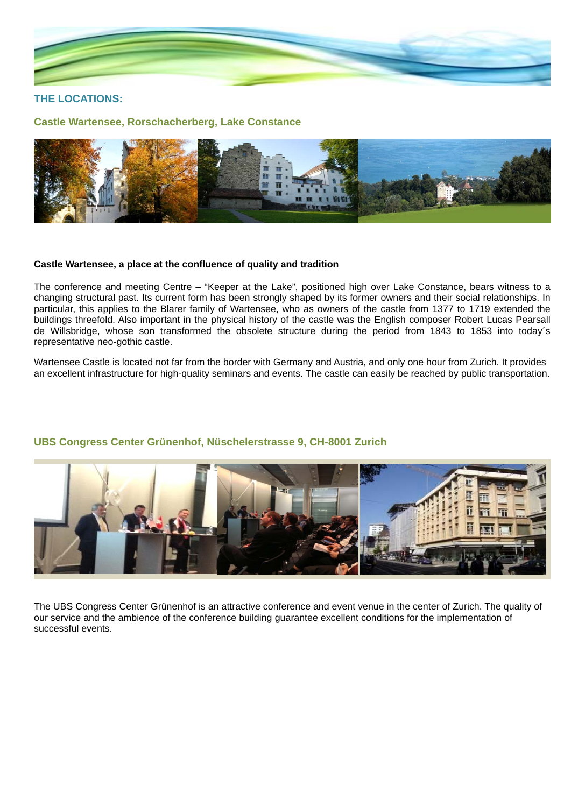

## **THE LOCATIONS:**

**Castle Wartensee, Rorschacherberg, Lake Constance** 



## **Castle Wartensee, a place at the confluence of quality and tradition**

The conference and meeting Centre – "Keeper at the Lake", positioned high over Lake Constance, bears witness to a changing structural past. Its current form has been strongly shaped by its former owners and their social relationships. In particular, this applies to the Blarer family of Wartensee, who as owners of the castle from 1377 to 1719 extended the buildings threefold. Also important in the physical history of the castle was the English composer Robert Lucas Pearsall de Willsbridge, whose son transformed the obsolete structure during the period from 1843 to 1853 into today´s representative neo-gothic castle.

Wartensee Castle is located not far from the border with Germany and Austria, and only one hour from Zurich. It provides an excellent infrastructure for high-quality seminars and events. The castle can easily be reached by public transportation.



## **UBS Congress Center Grünenhof, Nüschelerstrasse 9, CH-8001 Zurich**

The UBS Congress Center Grünenhof is an attractive conference and event venue in the center of Zurich. The quality of our service and the ambience of the conference building guarantee excellent conditions for the implementation of successful events.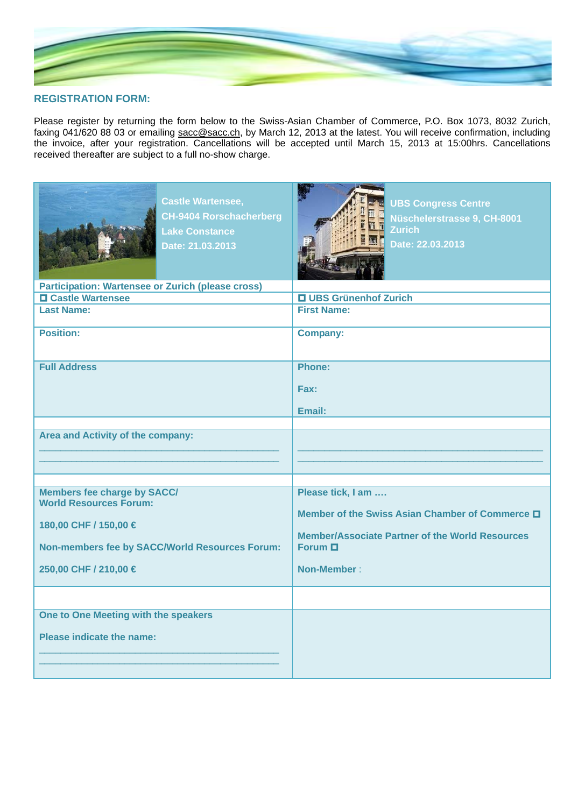

## **REGISTRATION FORM:**

Please register by returning the form below to the Swiss-Asian Chamber of Commerce, P.O. Box 1073, 8032 Zurich, faxing 041/620 88 03 or emailing sacc@sacc.ch, by March 12, 2013 at the latest. You will receive confirmation, including the invoice, after your registration. Cancellations will be accepted until March 15, 2013 at 15:00hrs. Cancellations received thereafter are subject to a full no-show charge.

| <b>Castle Wartensee,</b><br><b>CH-9404 Rorschacherberg</b><br><b>Lake Constance</b><br>Date: 21.03.2013                                                                        | <b>UBS Congress Centre</b><br>Nüschelerstrasse 9, CH-8001<br><b>Zurich</b><br>Date: 22.03.2013                                                                       |
|--------------------------------------------------------------------------------------------------------------------------------------------------------------------------------|----------------------------------------------------------------------------------------------------------------------------------------------------------------------|
| <b>Participation: Wartensee or Zurich (please cross)</b>                                                                                                                       |                                                                                                                                                                      |
| <b>O</b> Castle Wartensee                                                                                                                                                      | <b>Q UBS Grünenhof Zurich</b>                                                                                                                                        |
| <b>Last Name:</b>                                                                                                                                                              | <b>First Name:</b>                                                                                                                                                   |
| <b>Position:</b>                                                                                                                                                               | <b>Company:</b>                                                                                                                                                      |
| <b>Full Address</b>                                                                                                                                                            | Phone:                                                                                                                                                               |
|                                                                                                                                                                                | Fax:                                                                                                                                                                 |
|                                                                                                                                                                                | Email:                                                                                                                                                               |
| Area and Activity of the company:                                                                                                                                              |                                                                                                                                                                      |
|                                                                                                                                                                                |                                                                                                                                                                      |
| <b>Members fee charge by SACC/</b><br><b>World Resources Forum:</b><br>180,00 CHF / 150,00 €<br><b>Non-members fee by SACC/World Resources Forum:</b><br>250,00 CHF / 210,00 € | Please tick, I am<br>Member of the Swiss Asian Chamber of Commerce D<br><b>Member/Associate Partner of the World Resources</b><br>Forum $\Box$<br><b>Non-Member:</b> |
|                                                                                                                                                                                |                                                                                                                                                                      |
| One to One Meeting with the speakers<br><b>Please indicate the name:</b>                                                                                                       |                                                                                                                                                                      |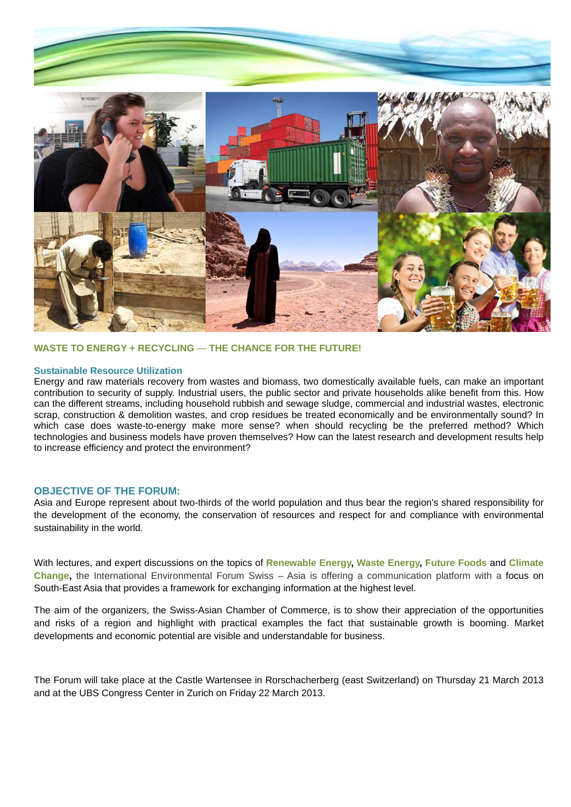

## **WASTE TO ENERGY + RECYCLING** — **THE CHANCE FOR THE FUTURE!**

#### **Sustainable Resource Utilization**

Energy and raw materials recovery from wastes and biomass, two domestically available fuels, can make an important contribution to security of supply. Industrial users, the public sector and private households alike benefit from this. How can the different streams, including household rubbish and sewage sludge, commercial and industrial wastes, electronic scrap, construction & demolition wastes, and crop residues be treated economically and be environmentally sound? In which case does waste-to-energy make more sense? when should recycling be the preferred method? Which technologies and business models have proven themselves? How can the latest research and development results help to increase efficiency and protect the environment?

## **OBJECTIVE OF THE FORUM:**

Asia and Europe represent about two-thirds of the world population and thus bear the region's shared responsibility for the development of the economy, the conservation of resources and respect for and compliance with environmental sustainability in the world.

With lectures, and expert discussions on the topics of **Renewable Energy, Waste Energy, Future Foods** and **Climate Change,** the International Environmental Forum Swiss – Asia is offering a communication platform with a focus on South-East Asia that provides a framework for exchanging information at the highest level.

The aim of the organizers, the Swiss-Asian Chamber of Commerce, is to show their appreciation of the opportunities and risks of a region and highlight with practical examples the fact that sustainable growth is booming. Market developments and economic potential are visible and understandable for business.

The Forum will take place at the Castle Wartensee in Rorschacherberg (east Switzerland) on Thursday 21 March 2013 and at the UBS Congress Center in Zurich on Friday 22 March 2013.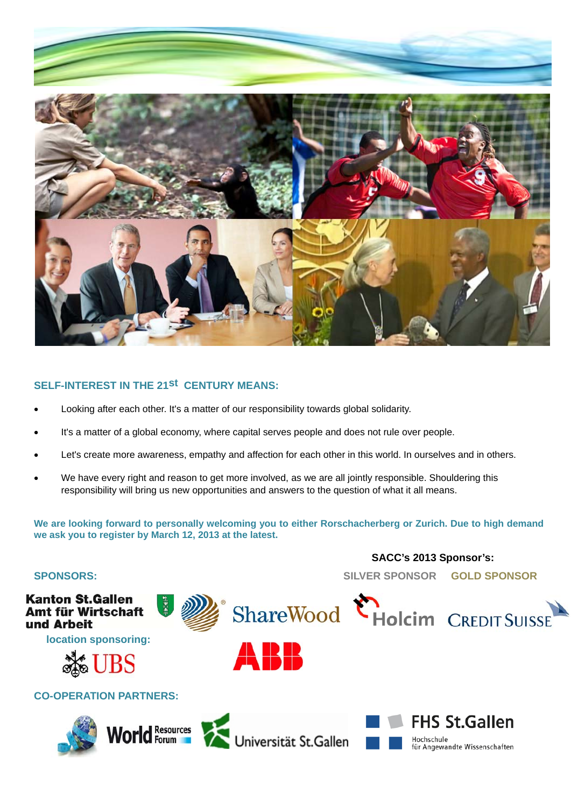

# **SELF-INTEREST IN THE 21st CENTURY MEANS:**

- Looking after each other. It's a matter of our responsibility towards global solidarity.
- It's a matter of a global economy, where capital serves people and does not rule over people.
- Let's create more awareness, empathy and affection for each other in this world. In ourselves and in others.
- We have every right and reason to get more involved, as we are all jointly responsible. Shouldering this responsibility will bring us new opportunities and answers to the question of what it all means.

**We are looking forward to personally welcoming you to either Rorschacherberg or Zurich. Due to high demand we ask you to register by March 12, 2013 at the latest.**